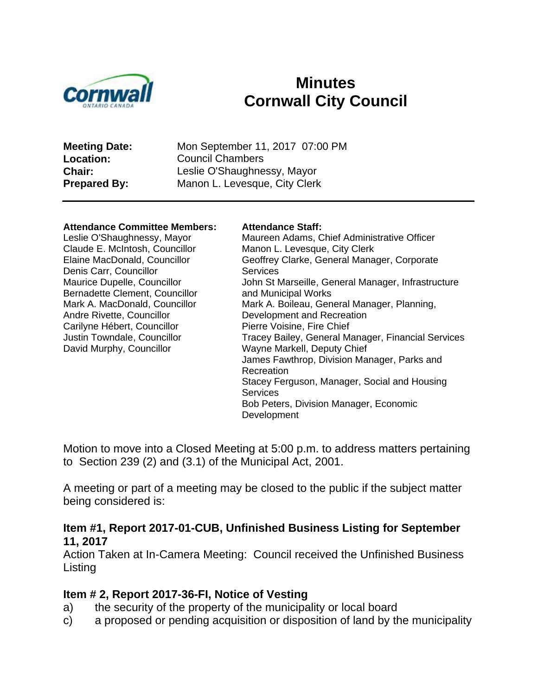

# **Minutes Cornwall City Council**

**Meeting Date:** Mon September 11, 2017 07:00 PM **Location:** Council Chambers **Chair:** Leslie O'Shaughnessy, Mayor **Prepared By:** Manon L. Levesque, City Clerk

#### **Attendance Committee Members: Attendance Staff:**

Leslie O'Shaughnessy, Mayor Claude E. McIntosh, Councillor Elaine MacDonald, Councillor Denis Carr, Councillor Maurice Dupelle, Councillor Bernadette Clement, Councillor Mark A. MacDonald, Councillor Andre Rivette, Councillor Carilyne Hébert, Councillor Justin Towndale, Councillor David Murphy, Councillor

Maureen Adams, Chief Administrative Officer Manon L. Levesque, City Clerk Geoffrey Clarke, General Manager, Corporate **Services** John St Marseille, General Manager, Infrastructure and Municipal Works Mark A. Boileau, General Manager, Planning, Development and Recreation Pierre Voisine, Fire Chief Tracey Bailey, General Manager, Financial Services Wayne Markell, Deputy Chief James Fawthrop, Division Manager, Parks and Recreation Stacey Ferguson, Manager, Social and Housing **Services** Bob Peters, Division Manager, Economic Development

Motion to move into a Closed Meeting at 5:00 p.m. to address matters pertaining to Section 239 (2) and (3.1) of the Municipal Act, 2001.

A meeting or part of a meeting may be closed to the public if the subject matter being considered is:

#### **Item #1, Report 2017-01-CUB, Unfinished Business Listing for September 11, 2017**

Action Taken at In-Camera Meeting: Council received the Unfinished Business Listing

#### **Item # 2, Report 2017-36-FI, Notice of Vesting**

- a) the security of the property of the municipality or local board
- c) a proposed or pending acquisition or disposition of land by the municipality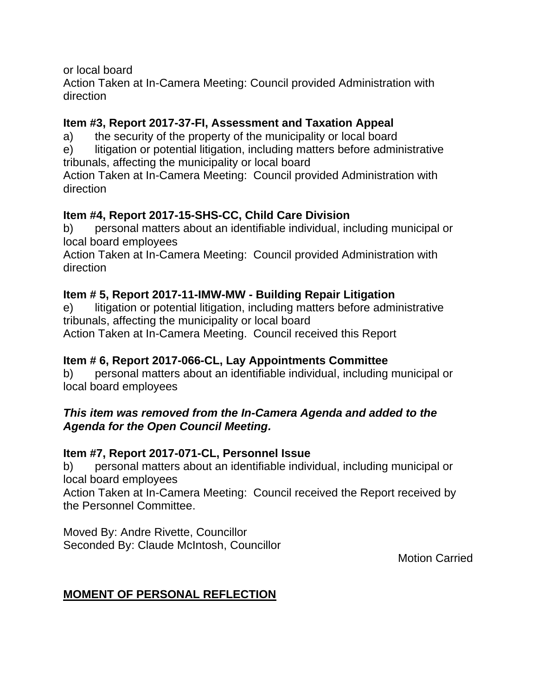or local board

Action Taken at In-Camera Meeting: Council provided Administration with direction

## **Item #3, Report 2017-37-FI, Assessment and Taxation Appeal**

a) the security of the property of the municipality or local board

e) litigation or potential litigation, including matters before administrative tribunals, affecting the municipality or local board

Action Taken at In-Camera Meeting: Council provided Administration with direction

## **Item #4, Report 2017-15-SHS-CC, Child Care Division**

b) personal matters about an identifiable individual, including municipal or local board employees

Action Taken at In-Camera Meeting: Council provided Administration with direction

## **Item # 5, Report 2017-11-IMW-MW - Building Repair Litigation**

e) litigation or potential litigation, including matters before administrative tribunals, affecting the municipality or local board Action Taken at In-Camera Meeting. Council received this Report

## **Item # 6, Report 2017-066-CL, Lay Appointments Committee**

b) personal matters about an identifiable individual, including municipal or local board employees

## *This item was removed from the In-Camera Agenda and added to the Agenda for the Open Council Meeting.*

## **Item #7, Report 2017-071-CL, Personnel Issue**

b) personal matters about an identifiable individual, including municipal or local board employees

Action Taken at In-Camera Meeting: Council received the Report received by the Personnel Committee.

Moved By: Andre Rivette, Councillor Seconded By: Claude McIntosh, Councillor

Motion Carried

## **MOMENT OF PERSONAL REFLECTION**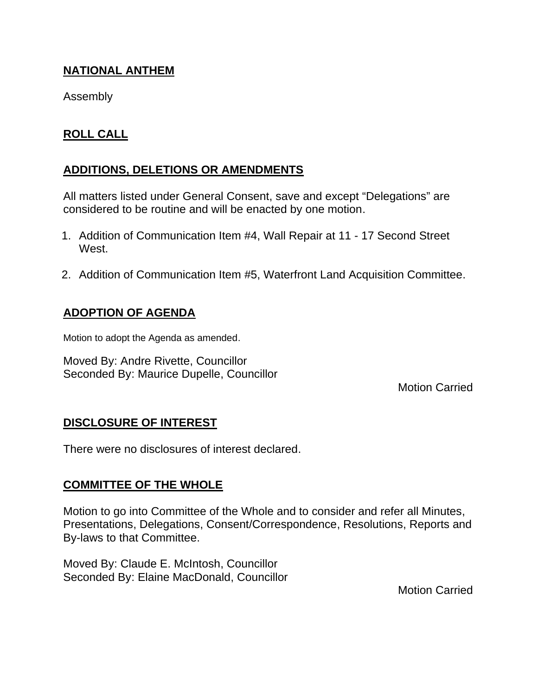## **NATIONAL ANTHEM**

Assembly

## **ROLL CALL**

## **ADDITIONS, DELETIONS OR AMENDMENTS**

All matters listed under General Consent, save and except "Delegations" are considered to be routine and will be enacted by one motion.

- 1. Addition of Communication Item #4, Wall Repair at 11 17 Second Street West.
- 2. Addition of Communication Item #5, Waterfront Land Acquisition Committee.

## **ADOPTION OF AGENDA**

Motion to adopt the Agenda as amended.

Moved By: Andre Rivette, Councillor Seconded By: Maurice Dupelle, Councillor

Motion Carried

## **DISCLOSURE OF INTEREST**

There were no disclosures of interest declared.

## **COMMITTEE OF THE WHOLE**

Motion to go into Committee of the Whole and to consider and refer all Minutes, Presentations, Delegations, Consent/Correspondence, Resolutions, Reports and By-laws to that Committee.

Moved By: Claude E. McIntosh, Councillor Seconded By: Elaine MacDonald, Councillor

Motion Carried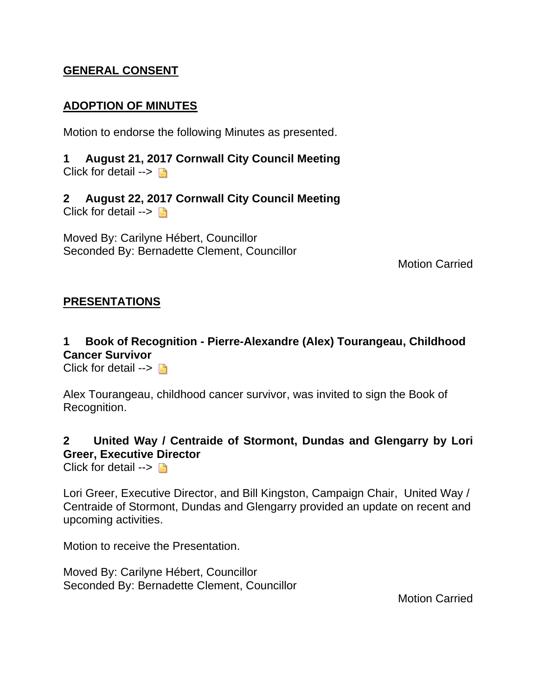## **GENERAL CONSENT**

#### **ADOPTION OF MINUTES**

Motion to endorse the following Minutes as presented.

**1 August 21, 2017 Cornwall City Council Meeting** Click for detail  $\rightarrow$ 

**2 August 22, 2017 Cornwall City Council Meeting** Click for detail  $\rightarrow \Box$ 

Moved By: Carilyne Hébert, Councillor Seconded By: Bernadette Clement, Councillor

Motion Carried

#### **PRESENTATIONS**

## **1 Book of Recognition - Pierre-Alexandre (Alex) Tourangeau, Childhood Cancer Survivor**

Click for detail  $\rightarrow \Box$ 

Alex Tourangeau, childhood cancer survivor, was invited to sign the Book of Recognition.

## **2 United Way / Centraide of Stormont, Dundas and Glengarry by Lori Greer, Executive Director**

Click for detail  $\rightarrow \Box$ 

Lori Greer, Executive Director, and Bill Kingston, Campaign Chair, United Way / Centraide of Stormont, Dundas and Glengarry provided an update on recent and upcoming activities.

Motion to receive the Presentation.

Moved By: Carilyne Hébert, Councillor Seconded By: Bernadette Clement, Councillor

Motion Carried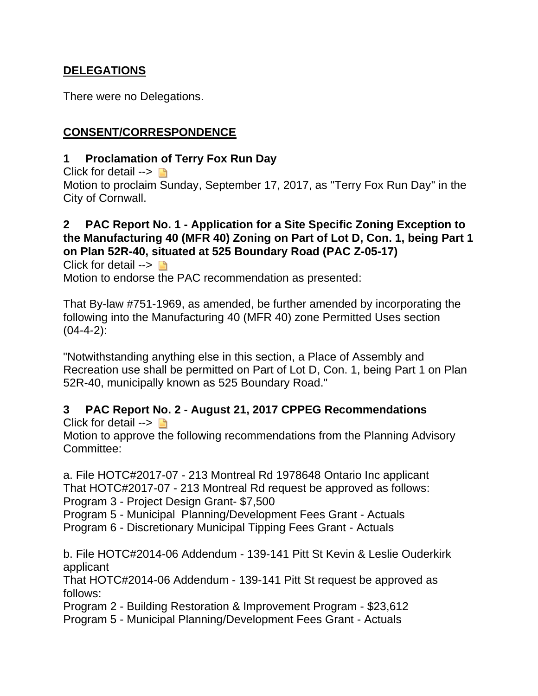## **DELEGATIONS**

There were no Delegations.

## **CONSENT/CORRESPONDENCE**

#### **1 Proclamation of Terry Fox Run Day**

Click for detail  $\rightarrow$ 

Motion to proclaim Sunday, September 17, 2017, as "Terry Fox Run Day" in the City of Cornwall.

## **2 PAC Report No. 1 - Application for a Site Specific Zoning Exception to the Manufacturing 40 (MFR 40) Zoning on Part of Lot D, Con. 1, being Part 1 on Plan 52R-40, situated at 525 Boundary Road (PAC Z-05-17)**

Click for detail  $\rightarrow \Box$ Motion to endorse the PAC recommendation as presented:

That By-law #751-1969, as amended, be further amended by incorporating the following into the Manufacturing 40 (MFR 40) zone Permitted Uses section  $(04-4-2)$ :

"Notwithstanding anything else in this section, a Place of Assembly and Recreation use shall be permitted on Part of Lot D, Con. 1, being Part 1 on Plan 52R-40, municipally known as 525 Boundary Road."

## **3 PAC Report No. 2 - August 21, 2017 CPPEG Recommendations**

Click for detail  $\rightarrow \Box$ 

Motion to approve the following recommendations from the Planning Advisory Committee:

a. File HOTC#2017-07 - 213 Montreal Rd 1978648 Ontario Inc applicant That HOTC#2017-07 - 213 Montreal Rd request be approved as follows: Program 3 - Project Design Grant- \$7,500

Program 5 - Municipal Planning/Development Fees Grant - Actuals

Program 6 - Discretionary Municipal Tipping Fees Grant - Actuals

b. File HOTC#2014-06 Addendum - 139-141 Pitt St Kevin & Leslie Ouderkirk applicant

That HOTC#2014-06 Addendum - 139-141 Pitt St request be approved as follows:

Program 2 - Building Restoration & Improvement Program - \$23,612

Program 5 - Municipal Planning/Development Fees Grant - Actuals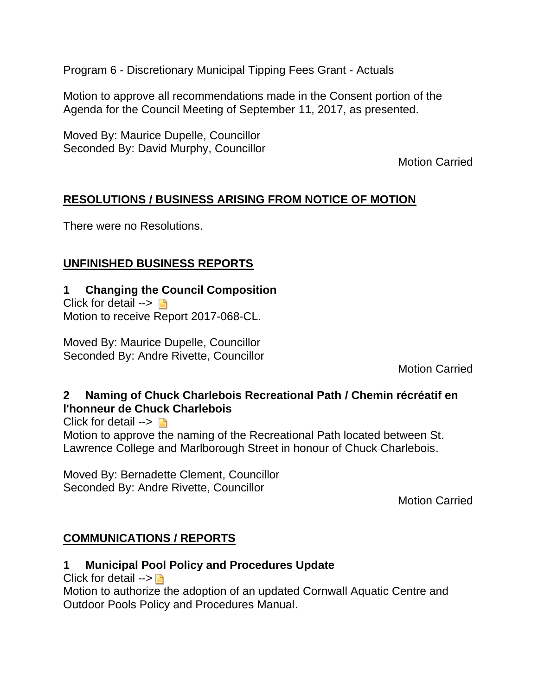Program 6 - Discretionary Municipal Tipping Fees Grant - Actuals

Motion to approve all recommendations made in the Consent portion of the Agenda for the Council Meeting of September 11, 2017, as presented.

Moved By: Maurice Dupelle, Councillor Seconded By: David Murphy, Councillor

Motion Carried

## **RESOLUTIONS / BUSINESS ARISING FROM NOTICE OF MOTION**

There were no Resolutions.

## **UNFINISHED BUSINESS REPORTS**

## **1 Changing the Council Composition**

Click for detail  $\rightarrow \Box$ Motion to receive Report 2017-068-CL.

Moved By: Maurice Dupelle, Councillor Seconded By: Andre Rivette, Councillor

Motion Carried

## **2 Naming of Chuck Charlebois Recreational Path / Chemin récréatif en l'honneur de Chuck Charlebois**

Click for detail  $\rightarrow \Box$ 

Motion to approve the naming of the Recreational Path located between St. Lawrence College and Marlborough Street in honour of Chuck Charlebois.

Moved By: Bernadette Clement, Councillor Seconded By: Andre Rivette, Councillor

Motion Carried

## **COMMUNICATIONS / REPORTS**

## **1 Municipal Pool Policy and Procedures Update**

Click for detail  $\rightarrow \blacksquare$ 

Motion to authorize the adoption of an updated Cornwall Aquatic Centre and Outdoor Pools Policy and Procedures Manual.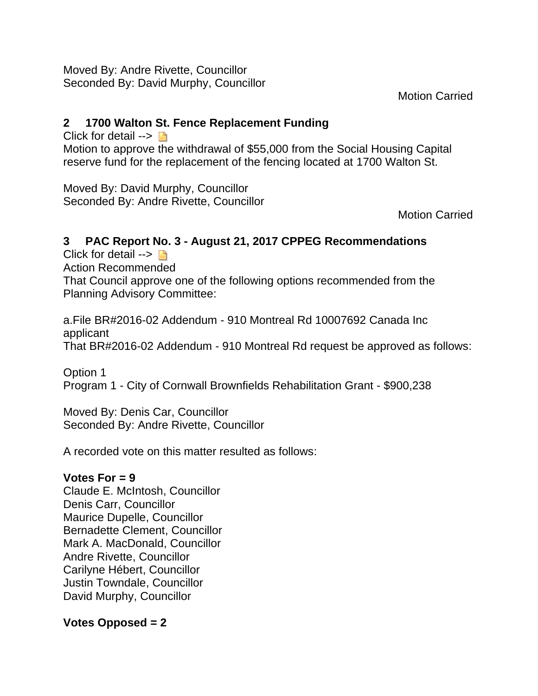Moved By: Andre Rivette, Councillor Seconded By: David Murphy, Councillor

Motion Carried

## **2 1700 Walton St. Fence Replacement Funding**

Click for detail  $\rightarrow \Box$ Motion to approve the withdrawal of \$55,000 from the Social Housing Capital reserve fund for the replacement of the fencing located at 1700 Walton St.

Moved By: David Murphy, Councillor Seconded By: Andre Rivette, Councillor

Motion Carried

## **3 PAC Report No. 3 - August 21, 2017 CPPEG Recommendations**

Click for detail  $\rightarrow \Box$ Action Recommended That Council approve one of the following options recommended from the Planning Advisory Committee:

a.File BR#2016-02 Addendum - 910 Montreal Rd 10007692 Canada Inc applicant That BR#2016-02 Addendum - 910 Montreal Rd request be approved as follows:

Option 1 Program 1 - City of Cornwall Brownfields Rehabilitation Grant - \$900,238

Moved By: Denis Car, Councillor Seconded By: Andre Rivette, Councillor

A recorded vote on this matter resulted as follows:

## **Votes For = 9**

Claude E. McIntosh, Councillor Denis Carr, Councillor Maurice Dupelle, Councillor Bernadette Clement, Councillor Mark A. MacDonald, Councillor Andre Rivette, Councillor Carilyne Hébert, Councillor Justin Towndale, Councillor David Murphy, Councillor

## **Votes Opposed = 2**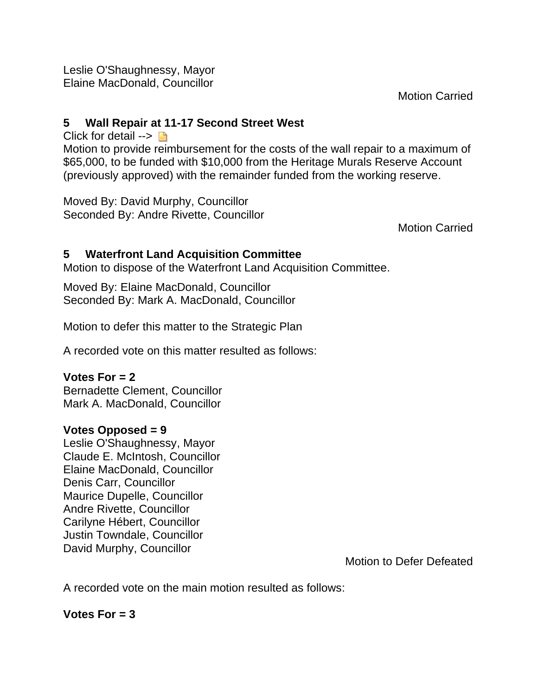Leslie O'Shaughnessy, Mayor Elaine MacDonald, Councillor

Motion Carried

#### **5 Wall Repair at 11-17 Second Street West**

Click for detail  $\rightarrow \Box$ 

Motion to provide reimbursement for the costs of the wall repair to a maximum of \$65,000, to be funded with \$10,000 from the Heritage Murals Reserve Account (previously approved) with the remainder funded from the working reserve.

Moved By: David Murphy, Councillor Seconded By: Andre Rivette, Councillor

Motion Carried

## **5 Waterfront Land Acquisition Committee**

Motion to dispose of the Waterfront Land Acquisition Committee.

Moved By: Elaine MacDonald, Councillor Seconded By: Mark A. MacDonald, Councillor

Motion to defer this matter to the Strategic Plan

A recorded vote on this matter resulted as follows:

## **Votes For = 2**

Bernadette Clement, Councillor Mark A. MacDonald, Councillor

## **Votes Opposed = 9**

Leslie O'Shaughnessy, Mayor Claude E. McIntosh, Councillor Elaine MacDonald, Councillor Denis Carr, Councillor Maurice Dupelle, Councillor Andre Rivette, Councillor Carilyne Hébert, Councillor Justin Towndale, Councillor David Murphy, Councillor

Motion to Defer Defeated

A recorded vote on the main motion resulted as follows:

## **Votes For = 3**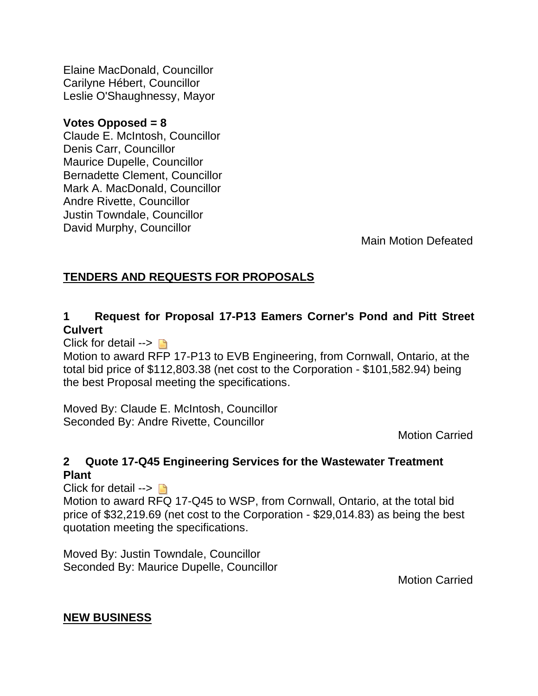Elaine MacDonald, Councillor Carilyne Hébert, Councillor Leslie O'Shaughnessy, Mayor

#### **Votes Opposed = 8**

Claude E. McIntosh, Councillor Denis Carr, Councillor Maurice Dupelle, Councillor Bernadette Clement, Councillor Mark A. MacDonald, Councillor Andre Rivette, Councillor Justin Towndale, Councillor David Murphy, Councillor

Main Motion Defeated

## **TENDERS AND REQUESTS FOR PROPOSALS**

## **1 Request for Proposal 17-P13 Eamers Corner's Pond and Pitt Street Culvert**

Click for detail  $\rightarrow \Box$ 

Motion to award RFP 17-P13 to EVB Engineering, from Cornwall, Ontario, at the total bid price of \$112,803.38 (net cost to the Corporation - \$101,582.94) being the best Proposal meeting the specifications.

Moved By: Claude E. McIntosh, Councillor Seconded By: Andre Rivette, Councillor

Motion Carried

## **2 Quote 17-Q45 Engineering Services for the Wastewater Treatment Plant**

Click for detail  $\rightarrow \Box$ Motion to award RFQ 17-Q45 to WSP, from Cornwall, Ontario, at the total bid price of \$32,219.69 (net cost to the Corporation - \$29,014.83) as being the best quotation meeting the specifications.

Moved By: Justin Towndale, Councillor Seconded By: Maurice Dupelle, Councillor

Motion Carried

## **NEW BUSINESS**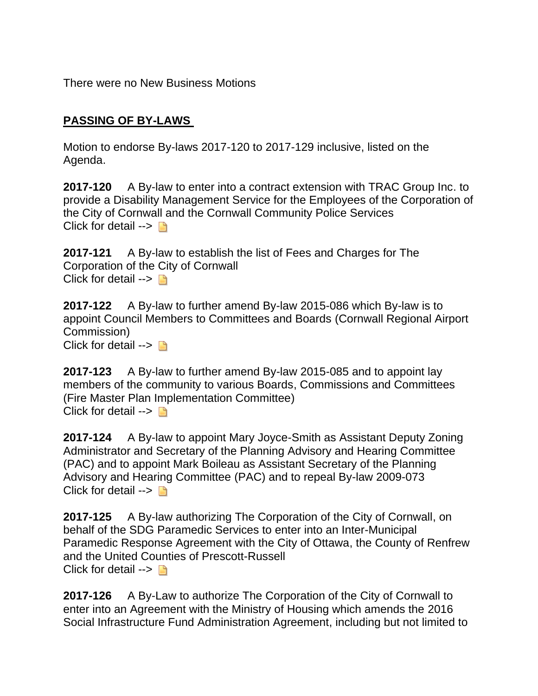There were no New Business Motions

## **PASSING OF BY-LAWS**

Motion to endorse By-laws 2017-120 to 2017-129 inclusive, listed on the Agenda.

**2017-120** A By-law to enter into a contract extension with TRAC Group Inc. to provide a Disability Management Service for the Employees of the Corporation of the City of Cornwall and the Cornwall Community Police Services Click for detail  $\rightarrow \Box$ 

**2017-121** A By-law to establish the list of Fees and Charges for The Corporation of the City of Cornwall Click for detail  $\rightarrow$ 

**2017-122** A By-law to further amend By-law 2015-086 which By-law is to appoint Council Members to Committees and Boards (Cornwall Regional Airport Commission) Click for detail  $\rightarrow \Box$ 

**2017-123** A By-law to further amend By-law 2015-085 and to appoint lay members of the community to various Boards, Commissions and Committees (Fire Master Plan Implementation Committee) Click for detail  $\rightarrow \Box$ 

**2017-124** A By-law to appoint Mary Joyce-Smith as Assistant Deputy Zoning Administrator and Secretary of the Planning Advisory and Hearing Committee (PAC) and to appoint Mark Boileau as Assistant Secretary of the Planning Advisory and Hearing Committee (PAC) and to repeal By-law 2009-073 Click for detail  $\rightarrow \Box$ 

**2017-125** A By-law authorizing The Corporation of the City of Cornwall, on behalf of the SDG Paramedic Services to enter into an Inter-Municipal Paramedic Response Agreement with the City of Ottawa, the County of Renfrew and the United Counties of Prescott-Russell Click for detail  $\rightarrow \Box$ 

**2017-126** A By-Law to authorize The Corporation of the City of Cornwall to enter into an Agreement with the Ministry of Housing which amends the 2016 Social Infrastructure Fund Administration Agreement, including but not limited to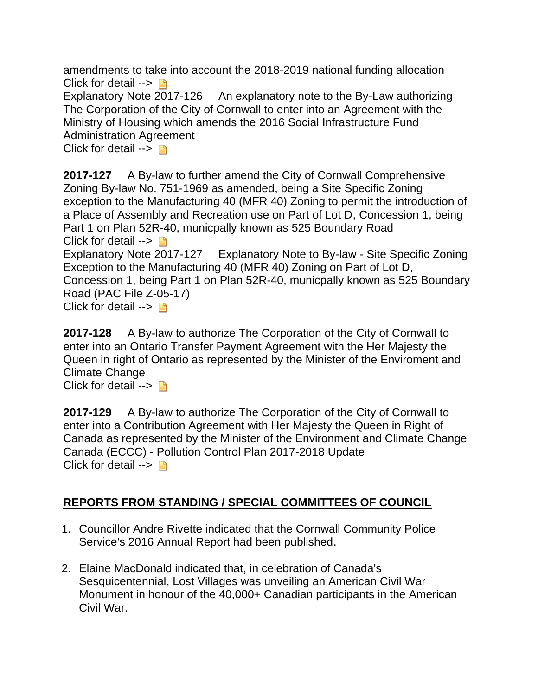amendments to take into account the 2018-2019 national funding allocation Click for detail  $\rightarrow \Box$ 

Explanatory Note 2017-126 An explanatory note to the By-Law authorizing The Corporation of the City of Cornwall to enter into an Agreement with the Ministry of Housing which amends the 2016 Social Infrastructure Fund Administration Agreement

Click for detail  $\rightarrow \Box$ 

**2017-127** A By-law to further amend the City of Cornwall Comprehensive Zoning By-law No. 751-1969 as amended, being a Site Specific Zoning exception to the Manufacturing 40 (MFR 40) Zoning to permit the introduction of a Place of Assembly and Recreation use on Part of Lot D, Concession 1, being Part 1 on Plan 52R-40, municpally known as 525 Boundary Road Click for detail  $\rightarrow \Box$ Explanatory Note 2017-127 Explanatory Note to By-law - Site Specific Zoning Exception to the Manufacturing 40 (MFR 40) Zoning on Part of Lot D, Concession 1, being Part 1 on Plan 52R-40, municpally known as 525 Boundary Road (PAC File Z-05-17) Click for detail  $\rightarrow \Box$ 

**2017-128** A By-law to authorize The Corporation of the City of Cornwall to enter into an Ontario Transfer Payment Agreement with the Her Majesty the Queen in right of Ontario as represented by the Minister of the Enviroment and Climate Change

Click for detail  $\rightarrow \Box$ 

**2017-129** A By-law to authorize The Corporation of the City of Cornwall to enter into a Contribution Agreement with Her Majesty the Queen in Right of Canada as represented by the Minister of the Environment and Climate Change Canada (ECCC) - Pollution Control Plan 2017-2018 Update Click for detail  $\rightarrow$ 

## **REPORTS FROM STANDING / SPECIAL COMMITTEES OF COUNCIL**

- 1. Councillor Andre Rivette indicated that the Cornwall Community Police Service's 2016 Annual Report had been published.
- 2. Elaine MacDonald indicated that, in celebration of Canada's Sesquicentennial, Lost Villages was unveiling an American Civil War Monument in honour of the 40,000+ Canadian participants in the American Civil War.